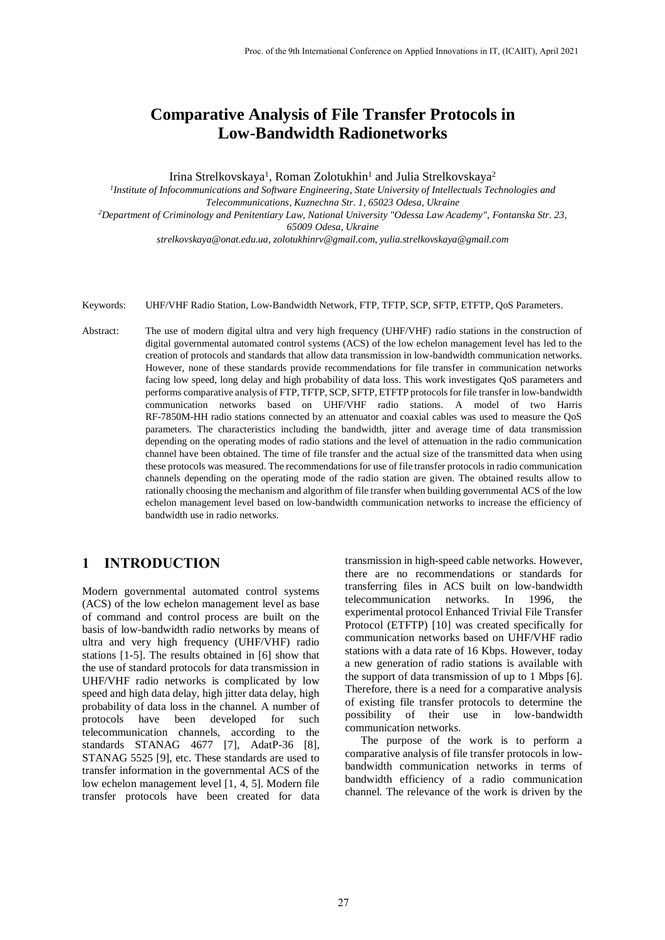# **Comparative Analysis of File Transfer Protocols in Low-Bandwidth Radionetworks**

Irina Strelkovskaya<sup>1</sup>, Roman Zolotukhin<sup>1</sup> and Julia Strelkovskaya<sup>2</sup>

<sup>1</sup>Institute of Infocommunications and Software Engineering, State University of Intellectuals Technologies and *Telecommunications, Kuznechna Str. 1, 65023 Odesa, Ukraine*

*<sup>2</sup>Department of Criminology and Penitentiary Law, National University "Odessa Law Academy", Fontanska Str. 23, 65009 Odesa, Ukraine*

*strelkovskaya@onat.edu.ua, zolotukhinrv@gmail.com, yulia.strelkovskaya@gmail.com*

Keywords: UHF/VHF Radio Station, Low-Bandwidth Network, FTP, TFTP, SCP, SFTP, ETFTP, QoS Parameters.

Abstract: The use of modern digital ultra and very high frequency (UHF/VHF) radio stations in the construction of digital governmental automated control systems (ACS) of the low echelon management level has led to the creation of protocols and standards that allow data transmission in low-bandwidth communication networks. However, none of these standards provide recommendations for file transfer in communication networks facing low speed, long delay and high probability of data loss. This work investigates QoS parameters and performs comparative analysis of FTP, TFTP, SCP, SFTP, ETFTP protocols for file transfer in low-bandwidth communication networks based on UHF/VHF radio stations. A model of two Harris RF-7850M-HH radio stations connected by an attenuator and coaxial cables was used to measure the QoS parameters. The characteristics including the bandwidth, jitter and average time of data transmission depending on the operating modes of radio stations and the level of attenuation in the radio communication channel have been obtained. The time of file transfer and the actual size of the transmitted data when using these protocols was measured. The recommendations for use of file transfer protocols in radio communication channels depending on the operating mode of the radio station are given. The obtained results allow to rationally choosing the mechanism and algorithm of file transfer when building governmental ACS of the low echelon management level based on low-bandwidth communication networks to increase the efficiency of bandwidth use in radio networks.

## **1 INTRODUCTION**

Modern governmental automated control systems (ACS) of the low echelon management level as base of command and control process are built on the basis of low-bandwidth radio networks by means of ultra and very high frequency (UHF/VHF) radio stations [1-5]. The results obtained in [6] show that the use of standard protocols for data transmission in UHF/VHF radio networks is complicated by low speed and high data delay, high jitter data delay, high probability of data loss in the channel. A number of protocols have been developed for such telecommunication channels, according to the standards STANAG 4677 [7], AdatP-36 [8], STANAG 5525 [9], etc. These standards are used to transfer information in the governmental ACS of the low echelon management level [1, 4, 5]. Modern file transfer protocols have been created for data

transmission in high-speed cable networks. However, there are no recommendations or standards for transferring files in ACS built on low-bandwidth telecommunication networks. In 1996, the experimental protocol Enhanced Trivial File Transfer Protocol (ETFTP) [10] was created specifically for communication networks based on UHF/VHF radio stations with a data rate of 16 Kbps. However, today a new generation of radio stations is available with the support of data transmission of up to 1 Mbps [6]. Therefore, there is a need for a comparative analysis of existing file transfer protocols to determine the possibility of their use in low-bandwidth communication networks.

The purpose of the work is to perform a comparative analysis of file transfer protocols in lowbandwidth communication networks in terms of bandwidth efficiency of a radio communication channel. The relevance of the work is driven by the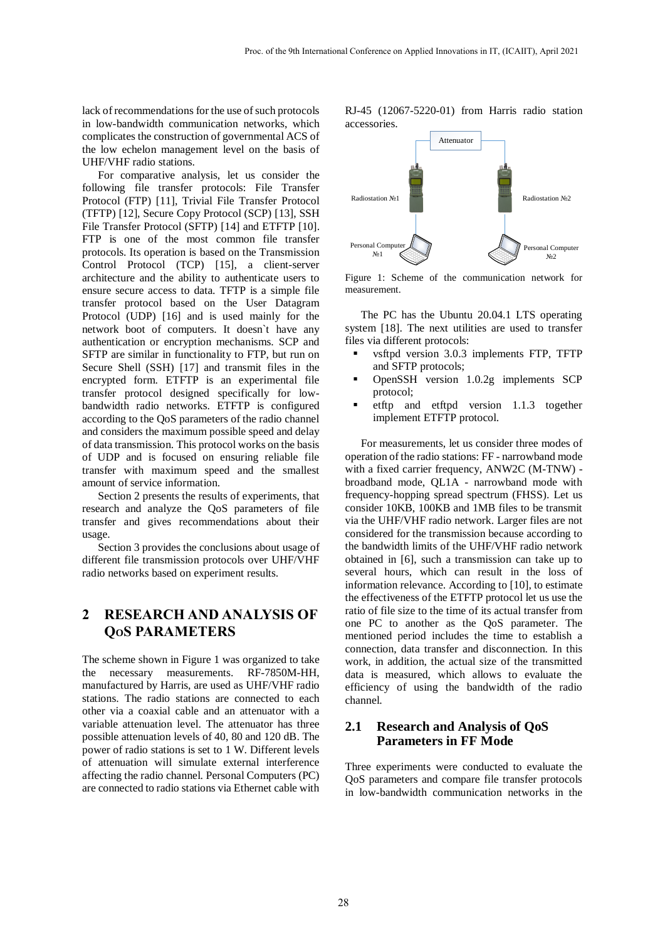lack of recommendations for the use of such protocols in low-bandwidth communication networks, which complicates the construction of governmental ACS of the low echelon management level on the basis of UHF/VHF radio stations.

For comparative analysis, let us consider the following file transfer protocols: File Transfer Protocol (FTP) [11], Trivial File Transfer Protocol (TFTP) [12], Secure Copy Protocol (SCP) [13], SSH File Transfer Protocol (SFTP) [14] and ETFTP [10]. FTP is one of the most common file transfer protocols. Its operation is based on the Transmission Control Protocol (TCP) [15], a client-server architecture and the ability to authenticate users to ensure secure access to data. TFTP is a simple file transfer protocol based on the User Datagram Protocol (UDP) [16] and is used mainly for the network boot of computers. It doesn`t have any authentication or encryption mechanisms. SCP and SFTP are similar in functionality to FTP, but run on Secure Shell (SSH) [17] and transmit files in the encrypted form. ETFTP is an experimental file transfer protocol designed specifically for lowbandwidth radio networks. ETFTP is configured according to the QoS parameters of the radio channel and considers the maximum possible speed and delay of data transmission. This protocol works on the basis of UDP and is focused on ensuring reliable file transfer with maximum speed and the smallest amount of service information.

Section 2 presents the results of experiments, that research and analyze the QoS parameters of file transfer and gives recommendations about their usage.

Section 3 provides the conclusions about usage of different file transmission protocols over UHF/VHF radio networks based on experiment results.

## **2 RESEARCH AND ANALYSIS OF QOS PARAMETERS**

The scheme shown in Figure 1 was organized to take the necessary measurements. RF-7850M-HH, manufactured by Harris, are used as UHF/VHF radio stations. The radio stations are connected to each other via a coaxial cable and an attenuator with a variable attenuation level. The attenuator has three possible attenuation levels of 40, 80 and 120 dB. The power of radio stations is set to 1 W. Different levels of attenuation will simulate external interference affecting the radio channel. Personal Computers (PC) are connected to radio stations via Ethernet cable with RJ-45 (12067-5220-01) from Harris radio station accessories.



Figure 1: Scheme of the communication network for measurement.

The PC has the Ubuntu 20.04.1 LTS operating system [18]. The next utilities are used to transfer files via different protocols:

- vsftpd version 3.0.3 implements FTP, TFTP and SFTP protocols;
- OpenSSH version 1.0.2g implements SCP protocol;
- etftp and etftpd version 1.1.3 together implement ETFTP protocol.

For measurements, let us consider three modes of operation of the radio stations: FF - narrowband mode with a fixed carrier frequency, ANW2C (M-TNW) broadband mode, QL1A - narrowband mode with frequency-hopping spread spectrum (FHSS). Let us consider 10KB, 100KB and 1MB files to be transmit via the UHF/VHF radio network. Larger files are not considered for the transmission because according to the bandwidth limits of the UHF/VHF radio network obtained in [6], such a transmission can take up to several hours, which can result in the loss of information relevance. According to [10], to estimate the effectiveness of the ETFTP protocol let us use the ratio of file size to the time of its actual transfer from one PC to another as the QoS parameter. The mentioned period includes the time to establish a connection, data transfer and disconnection. In this work, in addition, the actual size of the transmitted data is measured, which allows to evaluate the efficiency of using the bandwidth of the radio channel.

#### **2.1 Research and Analysis of QoS Parameters in FF Mode**

Three experiments were conducted to evaluate the QoS parameters and compare file transfer protocols in low-bandwidth communication networks in the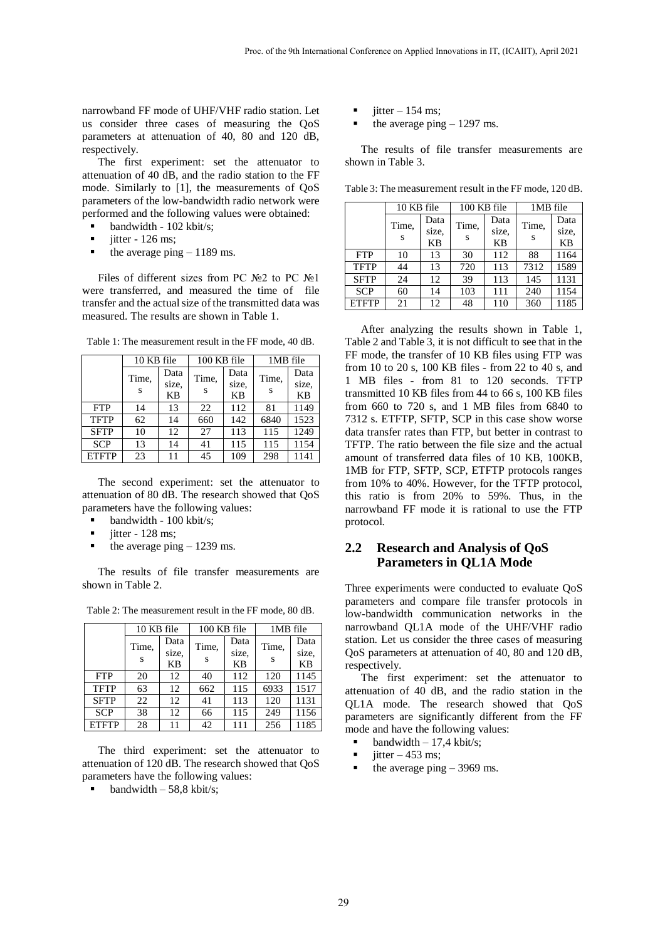narrowband FF mode of UHF/VHF radio station. Let us consider three cases of measuring the QoS parameters at attenuation of 40, 80 and 120 dB, respectively.

The first experiment: set the attenuator to attenuation of 40 dB, and the radio station to the FF mode. Similarly to [1], the measurements of QoS parameters of the low-bandwidth radio network were performed and the following values were obtained:

- bandwidth 102 kbit/s;
- iitter 126 ms:
- the average ping  $-1189$  ms.

Files of different sizes from PC №2 to PC №1 were transferred, and measured the time of file transfer and the actual size of the transmitted data was measured. The results are shown in Table 1.

|              | 10 KB file |       | 100 KB file |           | 1MB file |           |
|--------------|------------|-------|-------------|-----------|----------|-----------|
|              | Time,      | Data  | Time,       | Data      | Time,    | Data      |
|              |            | size. |             | size.     | S        | size.     |
|              | S          | KB    | S           | <b>KB</b> |          | <b>KB</b> |
| <b>FTP</b>   | 14         | 13    | 22          | 112       | 81       | 1149      |
| <b>TFTP</b>  | 62         | 14    | 660         | 142       | 6840     | 1523      |
| <b>SFTP</b>  | 10         | 12    | 27          | 113       | 115      | 1249      |
| <b>SCP</b>   | 13         | 14    | 41          | 115       | 115      | 1154      |
| <b>ETFTP</b> | 23         | 11    | 45          | 109       | 298      | 1141      |

Table 1: The measurement result in the FF mode, 40 dB.

The second experiment: set the attenuator to attenuation of 80 dB. The research showed that QoS parameters have the following values:

- bandwidth 100 kbit/s;
- iitter 128 ms:
- the average ping  $-1239$  ms.

The results of file transfer measurements are shown in Table 2.

|              | 10 KB file |           |       | 100 KB file |       | 1MB file  |
|--------------|------------|-----------|-------|-------------|-------|-----------|
|              | Time,      | Data      | Time, | Data        | Time, | Data      |
|              |            | size,     |       | size.       |       | size,     |
|              | S          | <b>KB</b> | S     | <b>KB</b>   | S     | <b>KB</b> |
| <b>FTP</b>   | 20         | 12        | 40    | 112         | 120   | 1145      |
| <b>TFTP</b>  | 63         | 12        | 662   | 115         | 6933  | 1517      |
| <b>SFTP</b>  | 22         | 12        | 41    | 113         | 120   | 1131      |
| <b>SCP</b>   | 38         | 12        | 66    | 115         | 249   | 1156      |
| <b>ETFTP</b> | 28         | 11        | 42    | 111         | 256   | 1185      |

Table 2: The measurement result in the FF mode, 80 dB.

The third experiment: set the attenuator to attenuation of 120 dB. The research showed that QoS parameters have the following values:

**bandwidth – 58,8 kbit/s;** 

- jitter  $-154$  ms;
- the average ping  $-1297$  ms.

The results of file transfer measurements are shown in Table 3.

Table 3: The measurement result in the FF mode, 120 dB.

|              | 10 KB file |           |       | 100 KB file |       | 1MB file  |  |
|--------------|------------|-----------|-------|-------------|-------|-----------|--|
|              | Time,      | Data      | Time. | Data        | Time, | Data      |  |
|              |            | size.     |       | size.       |       | size.     |  |
|              | S          | <b>KB</b> | S     | KB          | S     | <b>KB</b> |  |
| <b>FTP</b>   | 10         | 13        | 30    | 112         | 88    | 1164      |  |
| <b>TFTP</b>  | 44         | 13        | 720   | 113         | 7312  | 1589      |  |
| <b>SFTP</b>  | 24         | 12        | 39    | 113         | 145   | 1131      |  |
| <b>SCP</b>   | 60         | 14        | 103   | 111         | 240   | 1154      |  |
| <b>ETFTP</b> | 21         | 12        | 48    | 110         | 360   | 1185      |  |

After analyzing the results shown in Table 1, Table 2 and Table 3, it is not difficult to see that in the FF mode, the transfer of 10 KB files using FTP was from 10 to 20 s, 100 KB files - from 22 to 40 s, and 1 MB files - from 81 to 120 seconds. TFTP transmitted 10 KB files from 44 to 66 s, 100 KB files from 660 to 720 s, and 1 MB files from 6840 to 7312 s. ETFTP, SFTP, SCP in this case show worse data transfer rates than FTP, but better in contrast to TFTP. The ratio between the file size and the actual amount of transferred data files of 10 KB, 100KB, 1MB for FTP, SFTP, SCP, ETFTP protocols ranges from 10% to 40%. However, for the TFTP protocol, this ratio is from 20% to 59%. Thus, in the narrowband FF mode it is rational to use the FTP protocol.

#### **2.2 Research and Analysis of QoS Parameters in QL1A Mode**

Three experiments were conducted to evaluate QoS parameters and compare file transfer protocols in low-bandwidth communication networks in the narrowband QL1A mode of the UHF/VHF radio station. Let us consider the three cases of measuring QoS parameters at attenuation of 40, 80 and 120 dB, respectively.

The first experiment: set the attenuator to attenuation of 40 dB, and the radio station in the QL1A mode. The research showed that QoS parameters are significantly different from the FF mode and have the following values:

- **bandwidth**  $-17.4$  kbit/s:
- iitter  $-453$  ms:
- the average ping 3969 ms.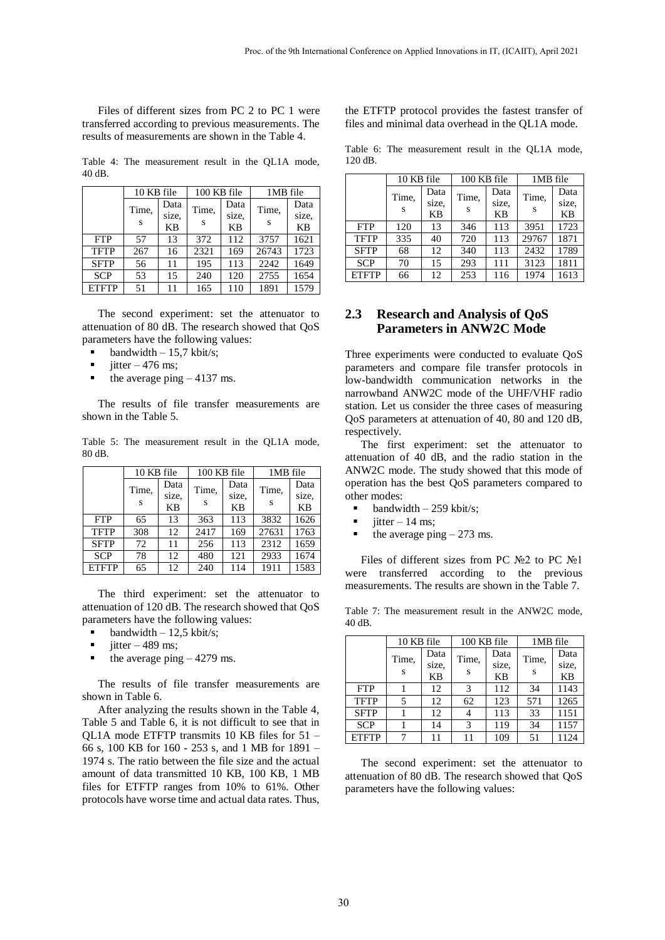Files of different sizes from PC 2 to PC 1 were transferred according to previous measurements. The results of measurements are shown in the Table 4.

Table 4: The measurement result in the QL1A mode, 40 dB.

|              | 10 KB file |       | $\overline{100}$ KB file |           | 1MB file |           |
|--------------|------------|-------|--------------------------|-----------|----------|-----------|
|              | Time.      | Data  | Time,                    | Data      | Time,    | Data      |
|              |            | size. |                          | size.     | S        | size.     |
|              | S          | KB    | S                        | <b>KB</b> |          | <b>KB</b> |
| <b>FTP</b>   | 57         | 13    | 372                      | 112       | 3757     | 1621      |
| <b>TFTP</b>  | 267        | 16    | 2321                     | 169       | 26743    | 1723      |
| <b>SFTP</b>  | 56         | 11    | 195                      | 113       | 2242     | 1649      |
| <b>SCP</b>   | 53         | 15    | 240                      | 120       | 2755     | 1654      |
| <b>ETFTP</b> | 51         | 11    | 165                      | 110       | 1891     | 1579      |

The second experiment: set the attenuator to attenuation of 80 dB. The research showed that QoS parameters have the following values:

- **bandwidth 15.7 kbit/s:**
- jitter  $-476$  ms;
- the average ping 4137 ms.

The results of file transfer measurements are shown in the Table 5.

Table 5: The measurement result in the QL1A mode, 80 dB.

|              | 10 KB file |       |       | 100 KB file |       | 1MB file  |  |
|--------------|------------|-------|-------|-------------|-------|-----------|--|
|              | Time,      | Data  | Time, | Data        | Time, | Data      |  |
|              |            | size. |       | size.       |       | size,     |  |
|              | S          | KB    | S     | <b>KB</b>   | S     | <b>KB</b> |  |
| <b>FTP</b>   | 65         | 13    | 363   | 113         | 3832  | 1626      |  |
| <b>TFTP</b>  | 308        | 12    | 2417  | 169         | 27631 | 1763      |  |
| <b>SFTP</b>  | 72         | 11    | 256   | 113         | 2312  | 1659      |  |
| <b>SCP</b>   | 78         | 12    | 480   | 121         | 2933  | 1674      |  |
| <b>ETFTP</b> | 65         | 12    | 240   | 114         | 1911  | 1583      |  |

The third experiment: set the attenuator to attenuation of 120 dB. The research showed that QoS parameters have the following values:

- **bandwidth**  $-12.5$  kbit/s;
- $\blacksquare$  itter 489 ms;
- the average ping  $-4279$  ms.

The results of file transfer measurements are shown in Table 6.

After analyzing the results shown in the Table 4, Table 5 and Table 6, it is not difficult to see that in QL1A mode ETFTP transmits 10 KB files for 51 – 66 s, 100 KB for 160 - 253 s, and 1 MB for 1891 – 1974 s. The ratio between the file size and the actual amount of data transmitted 10 KB, 100 KB, 1 MB files for ETFTP ranges from 10% to 61%. Other protocols have worse time and actual data rates. Thus,

the ETFTP protocol provides the fastest transfer of files and minimal data overhead in the QL1A mode.

Table 6: The measurement result in the QL1A mode, 120 dB.

|              | 10 KB file |           | 100 KB file |       | 1MB file |           |
|--------------|------------|-----------|-------------|-------|----------|-----------|
|              | Time,<br>S | Data      | Time,       | Data  | Time.    | Data      |
|              |            | size,     |             | size. | S        | size,     |
|              |            | <b>KB</b> | S           | KB    |          | <b>KB</b> |
| <b>FTP</b>   | 120        | 13        | 346         | 113   | 3951     | 1723      |
| <b>TFTP</b>  | 335        | 40        | 720         | 113   | 29767    | 1871      |
| <b>SFTP</b>  | 68         | 12        | 340         | 113   | 2432     | 1789      |
| <b>SCP</b>   | 70         | 15        | 293         | 111   | 3123     | 1811      |
| <b>ETFTP</b> | 66         | 12        | 253         | 116   | 1974     | 1613      |

### **2.3 Research and Analysis of QoS Parameters in ANW2C Mode**

Three experiments were conducted to evaluate QoS parameters and compare file transfer protocols in low-bandwidth communication networks in the narrowband ANW2C mode of the UHF/VHF radio station. Let us consider the three cases of measuring QoS parameters at attenuation of 40, 80 and 120 dB, respectively.

The first experiment: set the attenuator to attenuation of 40 dB, and the radio station in the ANW2C mode. The study showed that this mode of operation has the best QoS parameters compared to other modes:

- bandwidth 259 kbit/s;
- jitter  $-14$  ms;
- $\blacksquare$  the average ping  $-273$  ms.

Files of different sizes from PC №2 to PC №1 were transferred according to the previous measurements. The results are shown in the Table 7.

Table 7: The measurement result in the ANW2C mode, 40 dB.

|              | 10 KB file |       |       | 100 KB file |       | 1MB file  |  |
|--------------|------------|-------|-------|-------------|-------|-----------|--|
|              | Time,      | Data  | Time, | Data        | Time. | Data      |  |
|              | S          | size. | S     | size.       |       | size.     |  |
|              |            | KB    |       | ΚB          |       | <b>KB</b> |  |
| <b>FTP</b>   |            | 12    | 3     | 112         | 34    | 1143      |  |
| <b>TFTP</b>  | 5          | 12    | 62    | 123         | 571   | 1265      |  |
| <b>SFTP</b>  |            | 12    |       | 113         | 33    | 1151      |  |
| <b>SCP</b>   |            | 14    | 3     | 119         | 34    | 1157      |  |
| <b>ETFTP</b> | 7          | 11    | 11    | 109         | 51    | 1124      |  |

The second experiment: set the attenuator to attenuation of 80 dB. The research showed that QoS parameters have the following values: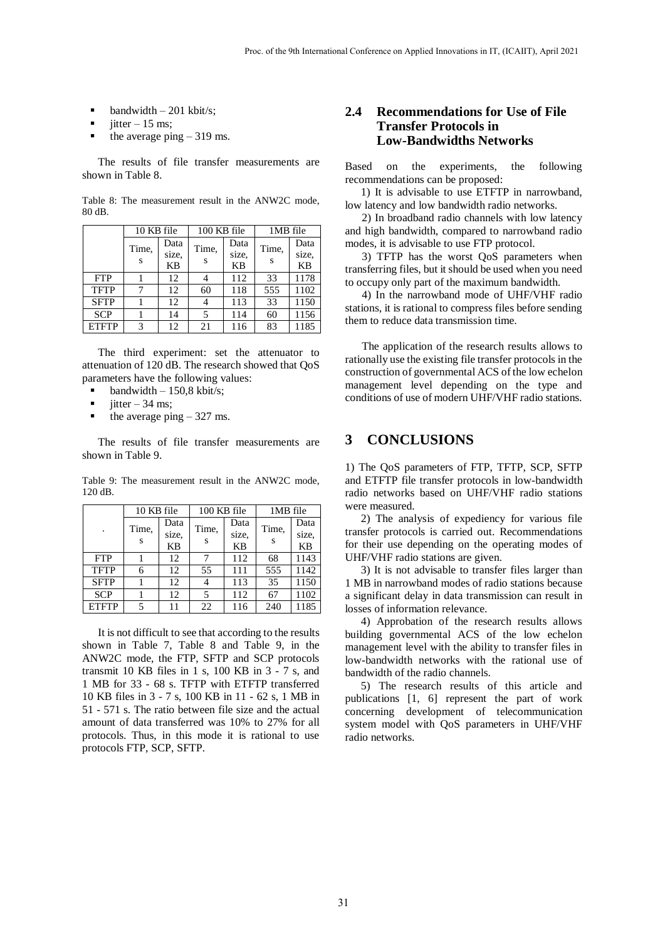- bandwidth 201 kbit/s;
- jitter  $-15$  ms;
- the average ping  $-319$  ms.

The results of file transfer measurements are shown in Table 8.

Table 8: The measurement result in the ANW2C mode, 80 dB.

|              | 10 KB file |       | 100 KB file |           | 1MB file |           |
|--------------|------------|-------|-------------|-----------|----------|-----------|
|              | Time.      | Data  | Time,       | Data      | Time,    | Data      |
|              |            | size, |             | size,     |          | size.     |
|              | S          | KB    | S           | <b>KB</b> | S        | <b>KB</b> |
| <b>FTP</b>   |            | 12    |             | 112       | 33       | 1178      |
| <b>TFTP</b>  |            | 12    | 60          | 118       | 555      | 1102      |
| <b>SFTP</b>  |            | 12    |             | 113       | 33       | 1150      |
| <b>SCP</b>   |            | 14    | 5           | 114       | 60       | 1156      |
| <b>ETFTP</b> | 3          | 12    | 21          | 116       | 83       | 1185      |

The third experiment: set the attenuator to attenuation of 120 dB. The research showed that QoS parameters have the following values:

- bandwidth  $-150.8$  kbit/s;
- jitter  $-34$  ms;
- the average ping  $-327$  ms.

The results of file transfer measurements are shown in Table 9.

Table 9: The measurement result in the ANW2C mode, 120 dB.

|              | 10 KB file |       | 100 KB file |           | 1MB file |           |
|--------------|------------|-------|-------------|-----------|----------|-----------|
|              | Time,      | Data  | Time,       | Data      | Time,    | Data      |
| ٠            |            | size, |             | size,     |          | size,     |
|              | S          | KB    | S           | <b>KB</b> | S        | <b>KB</b> |
| <b>FTP</b>   |            | 12    | 7           | 112       | 68       | 1143      |
| <b>TFTP</b>  | 6          | 12    | 55          | 111       | 555      | 1142      |
| <b>SFTP</b>  |            | 12    |             | 113       | 35       | 1150      |
| <b>SCP</b>   |            | 12    | 5           | 112       | 67       | 1102      |
| <b>ETFTP</b> | 5          | 11    | 22          | 116       | 240      | 1185      |

It is not difficult to see that according to the results shown in Table 7, Table 8 and Table 9, in the ANW2C mode, the FTP, SFTP and SCP protocols transmit 10 KB files in 1 s, 100 KB in 3 - 7 s, and 1 MB for 33 - 68 s. TFTP with ETFTP transferred 10 KB files in 3 - 7 s, 100 KB in 11 - 62 s, 1 MB in 51 - 571 s. The ratio between file size and the actual amount of data transferred was 10% to 27% for all protocols. Thus, in this mode it is rational to use protocols FTP, SCP, SFTP.

### **2.4 Recommendations for Use of File Transfer Protocols in Low-Bandwidths Networks**

Based on the experiments, the following recommendations can be proposed:

1) It is advisable to use ETFTP in narrowband, low latency and low bandwidth radio networks.

2) In broadband radio channels with low latency and high bandwidth, compared to narrowband radio modes, it is advisable to use FTP protocol.

3) TFTP has the worst QoS parameters when transferring files, but it should be used when you need to occupy only part of the maximum bandwidth.

4) In the narrowband mode of UHF/VHF radio stations, it is rational to compress files before sending them to reduce data transmission time.

The application of the research results allows to rationally use the existing file transfer protocols in the construction of governmental ACS of the low echelon management level depending on the type and conditions of use of modern UHF/VHF radio stations.

## **3 CONCLUSIONS**

1) The QoS parameters of FTP, TFTP, SCP, SFTP and ETFTP file transfer protocols in low-bandwidth radio networks based on UHF/VHF radio stations were measured.

2) The analysis of expediency for various file transfer protocols is carried out. Recommendations for their use depending on the operating modes of UHF/VHF radio stations are given.

3) It is not advisable to transfer files larger than 1 MB in narrowband modes of radio stations because a significant delay in data transmission can result in losses of information relevance.

4) Approbation of the research results allows building governmental ACS of the low echelon management level with the ability to transfer files in low-bandwidth networks with the rational use of bandwidth of the radio channels.

5) The research results of this article and publications [1, 6] represent the part of work concerning development of telecommunication system model with QoS parameters in UHF/VHF radio networks.